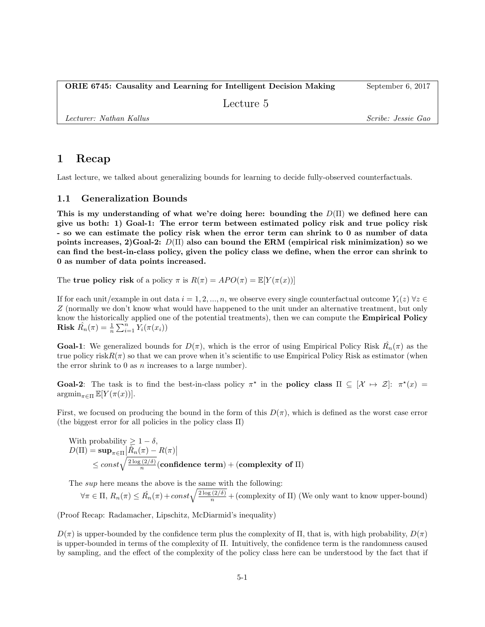## 1 Recap

Last lecture, we talked about generalizing bounds for learning to decide fully-observed counterfactuals.

### 1.1 Generalization Bounds

This is my understanding of what we're doing here: bounding the  $D(\Pi)$  we defined here can give us both: 1) Goal-1: The error term between estimated policy risk and true policy risk - so we can estimate the policy risk when the error term can shrink to 0 as number of data points increases, 2)Goal-2:  $D(\Pi)$  also can bound the ERM (empirical risk minimization) so we can find the best-in-class policy, given the policy class we define, when the error can shrink to 0 as number of data points increased.

The true policy risk of a policy  $\pi$  is  $R(\pi) = APO(\pi) = \mathbb{E}[Y(\pi(x))]$ 

If for each unit/example in out data  $i = 1, 2, ..., n$ , we observe every single counterfactual outcome  $Y_i(z)$   $\forall z \in$ Z (normally we don't know what would have happened to the unit under an alternative treatment, but only know the historically applied one of the potential treatments), then we can compute the **Empirical Policy Risk**  $\hat{R_n}(\pi) = \frac{1}{n} \sum_{i=1}^n Y_i(\pi(x_i))$ 

**Goal-1**: We generalized bounds for  $D(\pi)$ , which is the error of using Empirical Policy Risk  $\hat{R_n}(\pi)$  as the true policy risk $R(\pi)$  so that we can prove when it's scientific to use Empirical Policy Risk as estimator (when the error shrink to  $0$  as  $n$  increases to a large number).

Goal-2: The task is to find the best-in-class policy  $\pi^*$  in the policy class  $\Pi \subseteq [\mathcal{X} \mapsto \mathcal{Z}]$ :  $\pi^*(x) =$  $\operatorname{argmin}_{\pi \in \Pi} \mathbb{E}[Y(\pi(x))].$ 

First, we focused on producing the bound in the form of this  $D(\pi)$ , which is defined as the worst case error (the biggest error for all policies in the policy class Π)

With probability 
$$
\geq 1 - \delta
$$
,  
\n
$$
D(\Pi) = \sup_{\pi \in \Pi} |\hat{R}_n(\pi) - R(\pi)|
$$
\n
$$
\leq const \sqrt{\frac{2 \log (2/\delta)}{n}} (\text{confidence term}) + (\text{complexity of } \Pi)
$$

The *sup* here means the above is the same with the following:

$$
\forall \pi \in \Pi, R_n(\pi) \leq \hat{R_n}(\pi) + const \sqrt{\frac{2 \log(2/\delta)}{n}} + (complexity of \Pi)
$$
 (We only want to know upper-bound)

(Proof Recap: Radamacher, Lipschitz, McDiarmid's inequality)

 $D(\pi)$  is upper-bounded by the confidence term plus the complexity of  $\Pi$ , that is, with high probability,  $D(\pi)$ is upper-bounded in terms of the complexity of Π. Intuitively, the confidence term is the randomness caused by sampling, and the effect of the complexity of the policy class here can be understood by the fact that if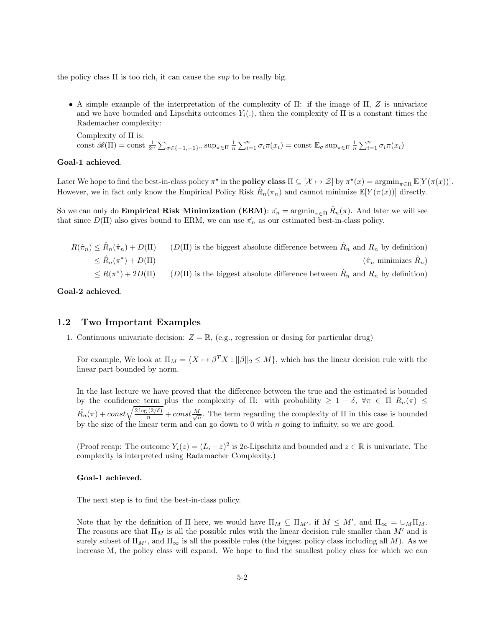the policy class  $\Pi$  is too rich, it can cause the sup to be really big.

• A simple example of the interpretation of the complexity of  $\Pi$ : if the image of  $\Pi$ , Z is univariate and we have bounded and Lipschitz outcomes  $Y_i(.)$ , then the complexity of  $\Pi$  is a constant times the Rademacher complexity:

Complexity of Π is: const  $\mathscr{R}(\Pi) = \text{const} \frac{1}{2^n} \sum_{\sigma \in \{-1, +1\}^n} \sup_{\pi \in \Pi} \frac{1}{n} \sum_{i=1}^n \sigma_i \pi(x_i) = \text{const} \mathbb{E}_{\sigma} \sup_{\pi \in \Pi} \frac{1}{n} \sum_{i=1}^n \sigma_i \pi(x_i)$ 

#### Goal-1 achieved.

Later We hope to find the best-in-class policy  $\pi^*$  in the **policy class**  $\Pi \subseteq [\mathcal{X} \mapsto \mathcal{Z}]$  by  $\pi^*(x) = \operatorname{argmin}_{\pi \in \Pi} \mathbb{E}[Y(\pi(x))].$ However, we in fact only know the Empirical Policy Risk  $\hat{R}_n(\pi_n)$  and cannot minimize  $\mathbb{E}[Y(\pi(x))]$  directly.

So we can only do **Empirical Risk Minimization (ERM)**:  $\hat{\pi_n} = \operatorname{argmin}_{\pi \in \Pi} \hat{R}_n(\pi)$ . And later we will see that since  $D(\Pi)$  also gives bound to ERM, we can use  $\hat{\pi}_n$  as our estimated best-in-class policy.

| $R(\hat{\pi}_n) \leq \hat{R}_n(\hat{\pi}_n) + D(\Pi)$ | $(D(\Pi))$ is the biggest absolute difference between $\hat{R}_n$ and $R_n$ by definition) |
|-------------------------------------------------------|--------------------------------------------------------------------------------------------|
| $\leq \hat{R}_n(\pi^*)+D(\Pi)$                        | $(\hat{\pi}_n$ minimizes $\hat{R}_n$ )                                                     |
| $\leq R(\pi^*)+2D(\Pi)$                               | $(D(\Pi))$ is the biggest absolute difference between $\hat{R}_n$ and $R_n$ by definition) |

Goal-2 achieved.

#### 1.2 Two Important Examples

1. Continuous univariate decision:  $Z = \mathbb{R}$ , (e.g., regression or dosing for particular drug)

For example, We look at  $\Pi_M = \{X \mapsto \beta^T X : ||\beta||_2 \leq M\}$ , which has the linear decision rule with the linear part bounded by norm.

In the last lecture we have proved that the difference between the true and the estimated is bounded by the confidence term plus the complexity of Π: with probability  $\geq 1 - \delta$ ,  $\forall \pi \in \Pi$   $R_n(\pi) \leq$  $\hat{R_n}(\pi) + const \sqrt{\frac{2 \log (2/\delta)}{n}} + const \frac{M}{\sqrt{n}}$ . The term regarding the complexity of  $\Pi$  in this case is bounded by the size of the linear term and can go down to  $0$  with  $n$  going to infinity, so we are good.

(Proof recap: The outcome  $Y_i(z) = (L_i - z)^2$  is 2c-Lipschitz and bounded and  $z \in \mathbb{R}$  is univariate. The complexity is interpreted using Radamacher Complexity.)

#### Goal-1 achieved.

The next step is to find the best-in-class policy.

Note that by the definition of  $\Pi$  here, we would have  $\Pi_M \subseteq \Pi_{M'}$ , if  $M \leq M'$ , and  $\Pi_{\infty} = \bigcup_M \Pi_M$ . The reasons are that  $\Pi_M$  is all the possible rules with the linear decision rule smaller than M' and is surely subset of  $\Pi_{M'}$ , and  $\Pi_{\infty}$  is all the possible rules (the biggest policy class including all M). As we increase M, the policy class will expand. We hope to find the smallest policy class for which we can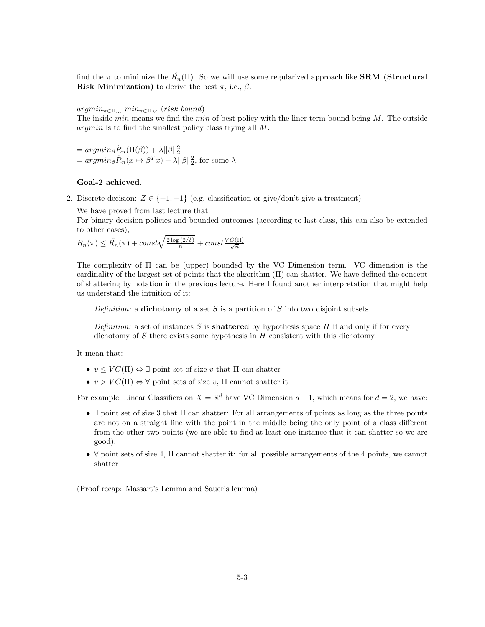find the  $\pi$  to minimize the  $\hat{R_n}(\Pi)$ . So we will use some regularized approach like **SRM** (Structural Risk Minimization) to derive the best  $\pi$ , i.e.,  $\beta$ .

 $argmin_{\pi \in \Pi_{\infty}} min_{\pi \in \Pi_{M}} (risk\ bound)$ 

The inside *min* means we find the *min* of best policy with the liner term bound being  $M$ . The outside argmin is to find the smallest policy class trying all M.

 $= argmin_{\beta} \hat{R}_n(\Pi(\beta)) + \lambda ||\beta||_2^2$  $= argmin_{\beta} \hat{R}_n(x \mapsto \beta^T x) + \lambda ||\beta||_2^2$ , for some  $\lambda$ 

#### Goal-2 achieved.

2. Discrete decision:  $Z \in \{+1, -1\}$  (e.g, classification or give/don't give a treatment)

We have proved from last lecture that:

For binary decision policies and bounded outcomes (according to last class, this can also be extended to other cases),

$$
R_n(\pi) \leq \hat{R_n}(\pi) + const \sqrt{\frac{2 \log(2/\delta)}{n}} + const \frac{VC(\Pi)}{\sqrt{n}}.
$$

The complexity of Π can be (upper) bounded by the VC Dimension term. VC dimension is the cardinality of the largest set of points that the algorithm (Π) can shatter. We have defined the concept of shattering by notation in the previous lecture. Here I found another interpretation that might help us understand the intuition of it:

Definition: a dichotomy of a set  $S$  is a partition of  $S$  into two disjoint subsets.

Definition: a set of instances S is **shattered** by hypothesis space H if and only if for every dichotomy of  $S$  there exists some hypothesis in  $H$  consistent with this dichotomy.

It mean that:

- $v \leq VC(\Pi) \Leftrightarrow \exists$  point set of size v that  $\Pi$  can shatter
- $v > VC(\Pi) \Leftrightarrow \forall$  point sets of size v,  $\Pi$  cannot shatter it

For example, Linear Classifiers on  $X = \mathbb{R}^d$  have VC Dimension  $d+1$ , which means for  $d=2$ , we have:

- $\exists$  point set of size 3 that  $\Pi$  can shatter: For all arrangements of points as long as the three points are not on a straight line with the point in the middle being the only point of a class different from the other two points (we are able to find at least one instance that it can shatter so we are good).
- $\forall$  point sets of size 4,  $\Pi$  cannot shatter it: for all possible arrangements of the 4 points, we cannot shatter

(Proof recap: Massart's Lemma and Sauer's lemma)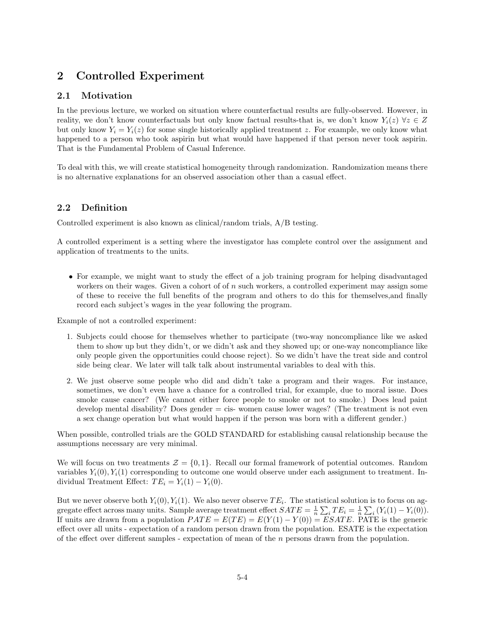# 2 Controlled Experiment

## 2.1 Motivation

In the previous lecture, we worked on situation where counterfactual results are fully-observed. However, in reality, we don't know counterfactuals but only know factual results-that is, we don't know  $Y_i(z)$   $\forall z \in Z$ but only know  $Y_i = Y_i(z)$  for some single historically applied treatment z. For example, we only know what happened to a person who took aspirin but what would have happened if that person never took aspirin. That is the Fundamental Problem of Casual Inference.

To deal with this, we will create statistical homogeneity through randomization. Randomization means there is no alternative explanations for an observed association other than a casual effect.

## 2.2 Definition

Controlled experiment is also known as clinical/random trials, A/B testing.

A controlled experiment is a setting where the investigator has complete control over the assignment and application of treatments to the units.

• For example, we might want to study the effect of a job training program for helping disadvantaged workers on their wages. Given a cohort of of  $n$  such workers, a controlled experiment may assign some of these to receive the full benefits of the program and others to do this for themselves,and finally record each subject's wages in the year following the program.

Example of not a controlled experiment:

- 1. Subjects could choose for themselves whether to participate (two-way noncompliance like we asked them to show up but they didn't, or we didn't ask and they showed up; or one-way noncompliance like only people given the opportunities could choose reject). So we didn't have the treat side and control side being clear. We later will talk talk about instrumental variables to deal with this.
- 2. We just observe some people who did and didn't take a program and their wages. For instance, sometimes, we don't even have a chance for a controlled trial, for example, due to moral issue. Does smoke cause cancer? (We cannot either force people to smoke or not to smoke.) Does lead paint develop mental disability? Does gender = cis- women cause lower wages? (The treatment is not even a sex change operation but what would happen if the person was born with a different gender.)

When possible, controlled trials are the GOLD STANDARD for establishing causal relationship because the assumptions necessary are very minimal.

We will focus on two treatments  $\mathcal{Z} = \{0, 1\}$ . Recall our formal framework of potential outcomes. Random variables  $Y_i(0), Y_i(1)$  corresponding to outcome one would observe under each assignment to treatment. Individual Treatment Effect:  $TE_i = Y_i(1) - Y_i(0)$ .

But we never observe both  $Y_i(0), Y_i(1)$ . We also never observe  $TE_i$ . The statistical solution is to focus on aggregate effect across many units. Sample average treatment effect  $SATE = \frac{1}{n} \sum_i TE_i = \frac{1}{n} \sum_i (Y_i(1) - Y_i(0)).$ If units are drawn from a population  $PATE = E(TE) = E(Y(1) - Y(0)) = ESATE$ . PATE is the generic effect over all units - expectation of a random person drawn from the population. ESATE is the expectation of the effect over different samples - expectation of mean of the  $n$  persons drawn from the population.